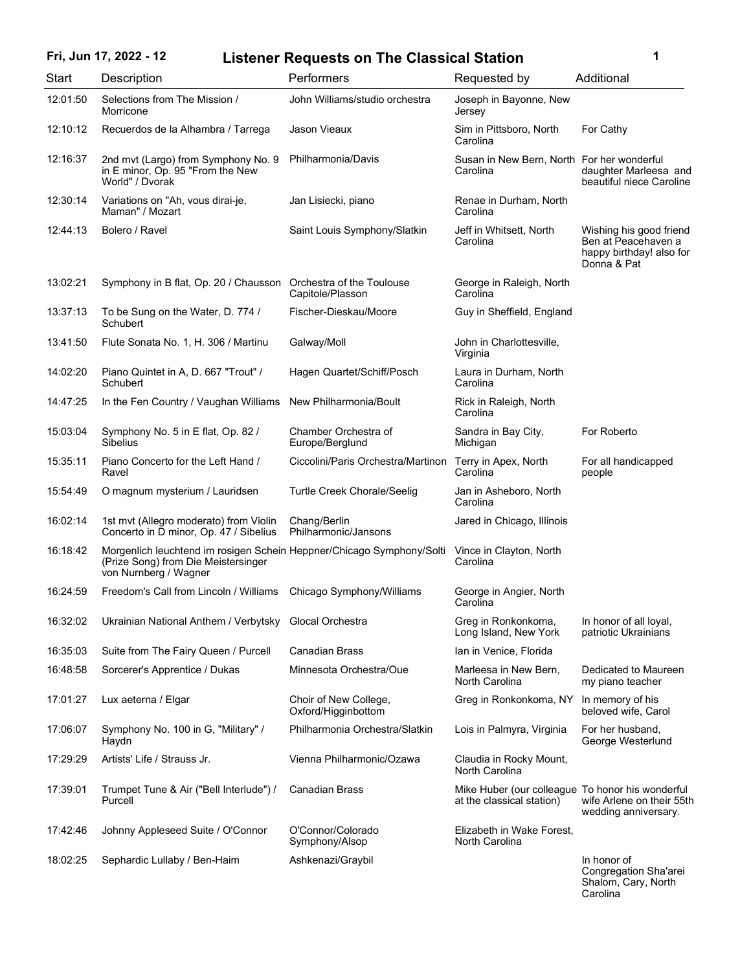## Fri, Jun 17, 2022 - 12 Listener Requests on The Classical Station 1

| <b>Start</b> | Description                                                                                                                           | Performers                                   | Requested by                                                                  | Additional                                                                                |
|--------------|---------------------------------------------------------------------------------------------------------------------------------------|----------------------------------------------|-------------------------------------------------------------------------------|-------------------------------------------------------------------------------------------|
| 12:01:50     | Selections from The Mission /<br>Morricone                                                                                            | John Williams/studio orchestra               | Joseph in Bayonne, New<br>Jersey                                              |                                                                                           |
| 12:10:12     | Recuerdos de la Alhambra / Tarrega                                                                                                    | Jason Vieaux                                 | Sim in Pittsboro, North<br>Carolina                                           | For Cathy                                                                                 |
| 12:16:37     | 2nd mvt (Largo) from Symphony No. 9<br>in E minor, Op. 95 "From the New<br>World" / Dvorak                                            | Philharmonia/Davis                           | Susan in New Bern, North For her wonderful<br>Carolina                        | daughter Marleesa and<br>beautiful niece Caroline                                         |
| 12:30:14     | Variations on "Ah, vous dirai-je,<br>Maman" / Mozart                                                                                  | Jan Lisiecki, piano                          | Renae in Durham, North<br>Carolina                                            |                                                                                           |
| 12:44:13     | Bolero / Ravel                                                                                                                        | Saint Louis Symphony/Slatkin                 | Jeff in Whitsett, North<br>Carolina                                           | Wishing his good friend<br>Ben at Peacehaven a<br>happy birthday! also for<br>Donna & Pat |
| 13:02:21     | Symphony in B flat, Op. 20 / Chausson Orchestra of the Toulouse                                                                       | Capitole/Plasson                             | George in Raleigh, North<br>Carolina                                          |                                                                                           |
| 13:37:13     | To be Sung on the Water, D. 774 /<br>Schubert                                                                                         | Fischer-Dieskau/Moore                        | Guy in Sheffield, England                                                     |                                                                                           |
| 13:41:50     | Flute Sonata No. 1, H. 306 / Martinu                                                                                                  | Galway/Moll                                  | John in Charlottesville,<br>Virginia                                          |                                                                                           |
| 14:02:20     | Piano Quintet in A, D. 667 "Trout" /<br>Schubert                                                                                      | Hagen Quartet/Schiff/Posch                   | Laura in Durham, North<br>Carolina                                            |                                                                                           |
| 14:47:25     | In the Fen Country / Vaughan Williams                                                                                                 | New Philharmonia/Boult                       | Rick in Raleigh, North<br>Carolina                                            |                                                                                           |
| 15:03:04     | Symphony No. 5 in E flat, Op. 82 /<br><b>Sibelius</b>                                                                                 | Chamber Orchestra of<br>Europe/Berglund      | Sandra in Bay City,<br>Michigan                                               | For Roberto                                                                               |
| 15:35:11     | Piano Concerto for the Left Hand /<br>Ravel                                                                                           | Ciccolini/Paris Orchestra/Martinon           | Terry in Apex, North<br>Carolina                                              | For all handicapped<br>people                                                             |
| 15:54:49     | O magnum mysterium / Lauridsen                                                                                                        | <b>Turtle Creek Chorale/Seelig</b>           | Jan in Asheboro, North<br>Carolina                                            |                                                                                           |
| 16:02:14     | 1st mvt (Allegro moderato) from Violin<br>Concerto in D minor, Op. 47 / Sibelius                                                      | Chang/Berlin<br>Philharmonic/Jansons         | Jared in Chicago, Illinois                                                    |                                                                                           |
| 16:18:42     | Morgenlich leuchtend im rosigen Schein Heppner/Chicago Symphony/Solti<br>(Prize Song) from Die Meistersinger<br>von Nurnberg / Wagner |                                              | Vince in Clayton, North<br>Carolina                                           |                                                                                           |
| 16:24:59     | Freedom's Call from Lincoln / Williams Chicago Symphony/Williams                                                                      |                                              | George in Angier, North<br>Carolina                                           |                                                                                           |
| 16:32:02     | Ukrainian National Anthem / Verbytsky Glocal Orchestra                                                                                |                                              | Greg in Ronkonkoma,<br>Long Island, New York                                  | In honor of all loyal,<br>patriotic Ukrainians                                            |
| 16:35:03     | Suite from The Fairy Queen / Purcell                                                                                                  | <b>Canadian Brass</b>                        | Ian in Venice, Florida                                                        |                                                                                           |
| 16:48:58     | Sorcerer's Apprentice / Dukas                                                                                                         | Minnesota Orchestra/Oue                      | Marleesa in New Bern,<br>North Carolina                                       | Dedicated to Maureen<br>my piano teacher                                                  |
| 17:01:27     | Lux aeterna / Elgar                                                                                                                   | Choir of New College,<br>Oxford/Higginbottom | Greg in Ronkonkoma, NY                                                        | In memory of his<br>beloved wife, Carol                                                   |
| 17:06:07     | Symphony No. 100 in G, "Military" /<br>Haydn                                                                                          | Philharmonia Orchestra/Slatkin               | Lois in Palmyra, Virginia                                                     | For her husband,<br>George Westerlund                                                     |
| 17:29:29     | Artists' Life / Strauss Jr.                                                                                                           | Vienna Philharmonic/Ozawa                    | Claudia in Rocky Mount,<br>North Carolina                                     |                                                                                           |
| 17:39:01     | Trumpet Tune & Air ("Bell Interlude") /<br>Purcell                                                                                    | <b>Canadian Brass</b>                        | Mike Huber (our colleague To honor his wonderful<br>at the classical station) | wife Arlene on their 55th<br>wedding anniversary.                                         |
| 17:42:46     | Johnny Appleseed Suite / O'Connor                                                                                                     | O'Connor/Colorado<br>Symphony/Alsop          | Elizabeth in Wake Forest,<br>North Carolina                                   |                                                                                           |
| 18:02:25     | Sephardic Lullaby / Ben-Haim                                                                                                          | Ashkenazi/Graybil                            |                                                                               | In honor of<br>Congregation Sha'arei                                                      |

Shalom, Cary, North Carolina